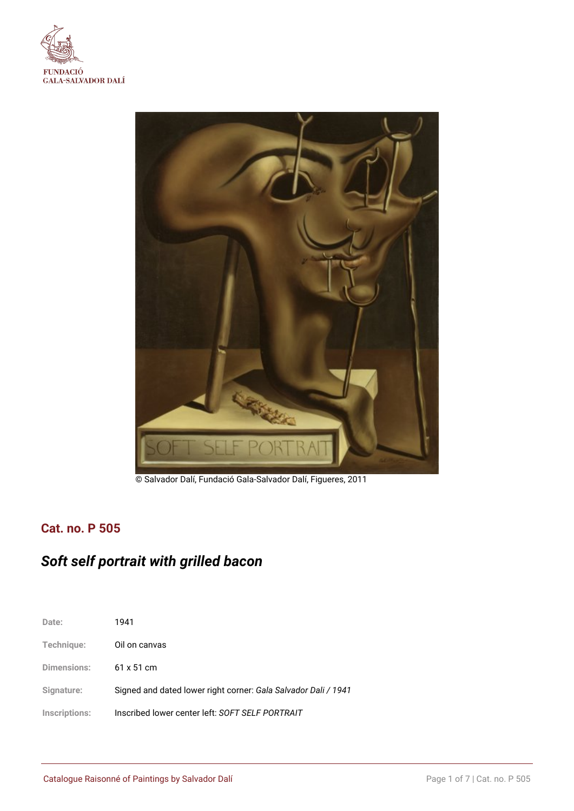



© Salvador Dalí, Fundació Gala-Salvador Dalí, Figueres, 2011

## **Cat. no. P 505**

# *Soft self portrait with grilled bacon*

| Date:              | 1941                                                           |
|--------------------|----------------------------------------------------------------|
| Technique:         | Oil on canvas                                                  |
| <b>Dimensions:</b> | $61 \times 51$ cm                                              |
| Signature:         | Signed and dated lower right corner: Gala Salvador Dali / 1941 |
| Inscriptions:      | Inscribed lower center left: SOFT SELF PORTRAIT                |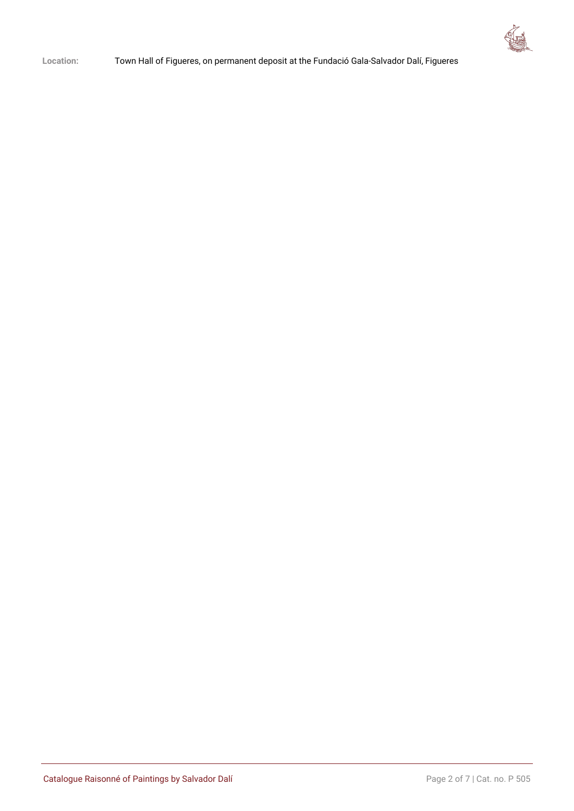

**Location:** Town Hall of Figueres, on permanent deposit at the Fundació Gala-Salvador Dalí, Figueres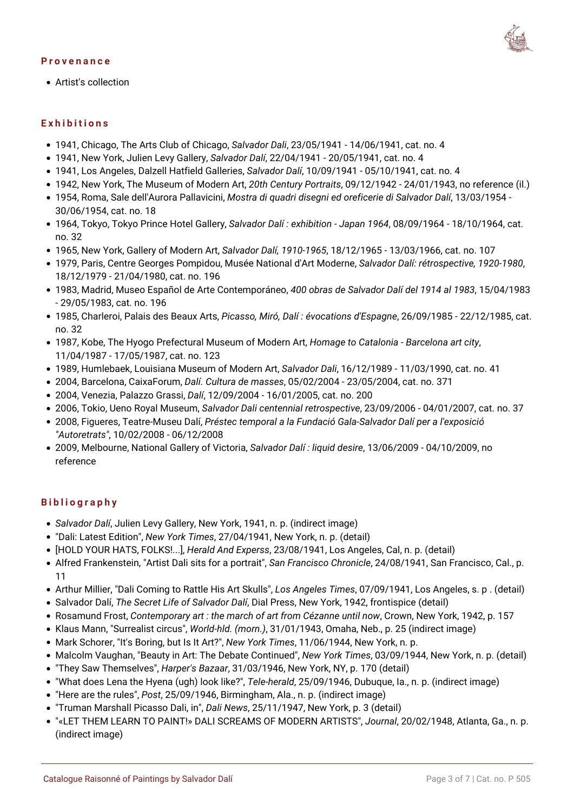#### **Provenance**



Artist's collection

#### **Exhibitions**

- 1941, Chicago, The Arts Club of Chicago, *Salvador Dali*, 23/05/1941 14/06/1941, cat. no. 4
- 1941, New York, Julien Levy Gallery, *Salvador Dalí*, 22/04/1941 20/05/1941, cat. no. 4
- 1941, Los Angeles, Dalzell Hatfield Galleries, *Salvador Dalí*, 10/09/1941 05/10/1941, cat. no. 4
- 1942, New York, The Museum of Modern Art, *20th Century Portraits*, 09/12/1942 24/01/1943, no reference (il.)
- 1954, Roma, Sale dell'Aurora Pallavicini, *Mostra di quadri disegni ed oreficerie di Salvador Dalí*, 13/03/1954 30/06/1954, cat. no. 18
- 1964, Tokyo, Tokyo Prince Hotel Gallery, *Salvador Dalí : exhibition Japan 1964*, 08/09/1964 18/10/1964, cat. no. 32
- 1965, New York, Gallery of Modern Art, *Salvador Dalí, 1910-1965*, 18/12/1965 13/03/1966, cat. no. 107
- 1979, Paris, Centre Georges Pompidou, Musée National d'Art Moderne, *Salvador Dalí: rétrospective, 1920-1980*, 18/12/1979 - 21/04/1980, cat. no. 196
- 1983, Madrid, Museo Español de Arte Contemporáneo, *400 obras de Salvador Dalí del 1914 al 1983*, 15/04/1983 - 29/05/1983, cat. no. 196
- 1985, Charleroi, Palais des Beaux Arts, *Picasso, Miró, Dalí : évocations d'Espagne*, 26/09/1985 22/12/1985, cat. no. 32
- 1987, Kobe, The Hyogo Prefectural Museum of Modern Art, *Homage to Catalonia Barcelona art city*, 11/04/1987 - 17/05/1987, cat. no. 123
- 1989, Humlebaek, Louisiana Museum of Modern Art, *Salvador Dali*, 16/12/1989 11/03/1990, cat. no. 41
- 2004, Barcelona, CaixaForum, *Dalí. Cultura de masses*, 05/02/2004 23/05/2004, cat. no. 371
- 2004, Venezia, Palazzo Grassi, *Dalí*, 12/09/2004 16/01/2005, cat. no. 200
- 2006, Tokio, Ueno Royal Museum, *Salvador Dali centennial retrospective*, 23/09/2006 04/01/2007, cat. no. 37
- 2008, Figueres, Teatre-Museu Dalí, *Préstec temporal a la Fundació Gala-Salvador Dalí per a l'exposició "Autoretrats"*, 10/02/2008 - 06/12/2008
- 2009, Melbourne, National Gallery of Victoria, *Salvador Dalí : liquid desire*, 13/06/2009 04/10/2009, no reference

### **Bibliography**

- *Salvador Dalí*, Julien Levy Gallery, New York, 1941, n. p. (indirect image)
- "Dali: Latest Edition", *New York Times*, 27/04/1941, New York, n. p. (detail)
- [HOLD YOUR HATS, FOLKS!...], *Herald And Experss*, 23/08/1941, Los Angeles, Cal, n. p. (detail)
- Alfred Frankenstein, "Artist Dali sits for a portrait", *San Francisco Chronicle*, 24/08/1941, San Francisco, Cal., p. 11
- Arthur Millier, "Dali Coming to Rattle His Art Skulls", *Los Angeles Times*, 07/09/1941, Los Angeles, s. p . (detail)
- Salvador Dalí, *The Secret Life of Salvador Dalí*, Dial Press, New York, 1942, frontispice (detail)
- Rosamund Frost, *Contemporary art : the march of art from Cézanne until now*, Crown, New York, 1942, p. 157
- Klaus Mann, "Surrealist circus", *World-hld. (morn.)*, 31/01/1943, Omaha, Neb., p. 25 (indirect image)
- Mark Schorer, "It's Boring, but Is It Art?", *New York Times*, 11/06/1944, New York, n. p.
- Malcolm Vaughan, "Beauty in Art: The Debate Continued", *New York Times*, 03/09/1944, New York, n. p. (detail)
- "They Saw Themselves", *Harper's Bazaar*, 31/03/1946, New York, NY, p. 170 (detail)
- "What does Lena the Hyena (ugh) look like?", *Tele-herald*, 25/09/1946, Dubuque, Ia., n. p. (indirect image)
- "Here are the rules", *Post*, 25/09/1946, Birmingham, Ala., n. p. (indirect image)
- "Truman Marshall Picasso Dali, in", *Dali News*, 25/11/1947, New York, p. 3 (detail)
- "«LET THEM LEARN TO PAINT!» DALI SCREAMS OF MODERN ARTISTS", *Journal*, 20/02/1948, Atlanta, Ga., n. p. (indirect image)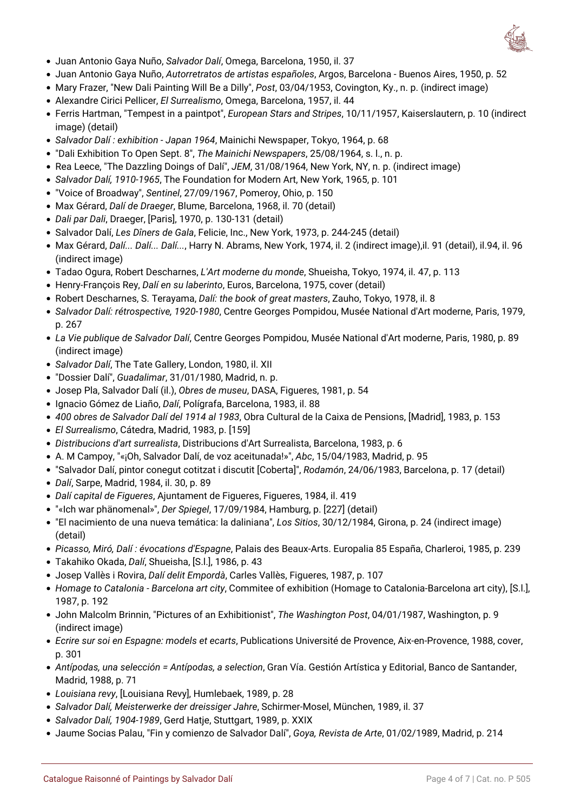

- Juan Antonio Gaya Nuño, *Salvador Dalí*, Omega, Barcelona, 1950, il. 37
- Juan Antonio Gaya Nuño, *Autorretratos de artistas españoles*, Argos, Barcelona Buenos Aires, 1950, p. 52
- Mary Frazer, "New Dali Painting Will Be a Dilly", *Post*, 03/04/1953, Covington, Ky., n. p. (indirect image)
- Alexandre Cirici Pellicer, *El Surrealismo*, Omega, Barcelona, 1957, il. 44
- Ferris Hartman, "Tempest in a paintpot", *European Stars and Stripes*, 10/11/1957, Kaiserslautern, p. 10 (indirect image) (detail)
- *Salvador Dalí : exhibition Japan 1964*, Mainichi Newspaper, Tokyo, 1964, p. 68
- "Dali Exhibition To Open Sept. 8", *The Mainichi Newspapers*, 25/08/1964, s. l., n. p.
- Rea Leece, "The Dazzling Doings of Dalí", *JEM*, 31/08/1964, New York, NY, n. p. (indirect image)
- *Salvador Dalí, 1910-1965*, The Foundation for Modern Art, New York, 1965, p. 101
- "Voice of Broadway", *Sentinel*, 27/09/1967, Pomeroy, Ohio, p. 150
- Max Gérard, *Dalí de Draeger*, Blume, Barcelona, 1968, il. 70 (detail)
- *Dali par Dali*, Draeger, [Paris], 1970, p. 130-131 (detail)
- Salvador Dalí, *Les Dîners de Gala*, Felicie, Inc., New York, 1973, p. 244-245 (detail)
- Max Gérard, *Dalí... Dalí... Dalí...*, Harry N. Abrams, New York, 1974, il. 2 (indirect image),il. 91 (detail), il.94, il. 96 (indirect image)
- Tadao Ogura, Robert Descharnes, *L'Art moderne du monde*, Shueisha, Tokyo, 1974, il. 47, p. 113
- Henry-François Rey, *Dalí en su laberinto*, Euros, Barcelona, 1975, cover (detail)
- Robert Descharnes, S. Terayama, *Dalí: the book of great masters*, Zauho, Tokyo, 1978, il. 8
- *Salvador Dalí: rétrospective, 1920-1980*, Centre Georges Pompidou, Musée National d'Art moderne, Paris, 1979, p. 267
- *La Vie publique de Salvador Dalí*, Centre Georges Pompidou, Musée National d'Art moderne, Paris, 1980, p. 89 (indirect image)
- *Salvador Dalí*, The Tate Gallery, London, 1980, il. XII
- "Dossier Dalí", *Guadalimar*, 31/01/1980, Madrid, n. p.
- Josep Pla, Salvador Dalí (il.), *Obres de museu*, DASA, Figueres, 1981, p. 54
- Ignacio Gómez de Liaño, *Dalí*, Polígrafa, Barcelona, 1983, il. 88
- *400 obres de Salvador Dalí del 1914 al 1983*, Obra Cultural de la Caixa de Pensions, [Madrid], 1983, p. 153
- *El Surrealismo*, Cátedra, Madrid, 1983, p. [159]
- *Distribucions d'art surrealista*, Distribucions d'Art Surrealista, Barcelona, 1983, p. 6
- A. M Campoy, "«¡Oh, Salvador Dalí, de voz aceitunada!»", *Abc*, 15/04/1983, Madrid, p. 95
- "Salvador Dalí, pintor conegut cotitzat i discutit [Coberta]", *Rodamón*, 24/06/1983, Barcelona, p. 17 (detail)
- *Dalí*, Sarpe, Madrid, 1984, il. 30, p. 89
- *Dalí capital de Figueres*, Ajuntament de Figueres, Figueres, 1984, il. 419
- "«Ich war phänomenal»", *Der Spiegel*, 17/09/1984, Hamburg, p. [227] (detail)
- "El nacimiento de una nueva temática: la daliniana", *Los Sitios*, 30/12/1984, Girona, p. 24 (indirect image) (detail)
- *Picasso, Miró, Dalí : évocations d'Espagne*, Palais des Beaux-Arts. Europalia 85 España, Charleroi, 1985, p. 239
- Takahiko Okada, *Dalí*, Shueisha, [S.l.], 1986, p. 43
- Josep Vallès i Rovira, *Dalí delit Empordà*, Carles Vallès, Figueres, 1987, p. 107
- *Homage to Catalonia Barcelona art city*, Commitee of exhibition (Homage to Catalonia-Barcelona art city), [S.l.], 1987, p. 192
- John Malcolm Brinnin, "Pictures of an Exhibitionist", *The Washington Post*, 04/01/1987, Washington, p. 9 (indirect image)
- *Ecrire sur soi en Espagne: models et ecarts*, Publications Université de Provence, Aix-en-Provence, 1988, cover, p. 301
- *Antípodas, una selección = Antípodas, a selection*, Gran Vía. Gestión Artística y Editorial, Banco de Santander, Madrid, 1988, p. 71
- *Louisiana revy*, [Louisiana Revy], Humlebaek, 1989, p. 28
- *Salvador Dalí, Meisterwerke der dreissiger Jahre*, Schirmer-Mosel, München, 1989, il. 37
- *Salvador Dalí, 1904-1989*, Gerd Hatje, Stuttgart, 1989, p. XXIX
- Jaume Socias Palau, "Fin y comienzo de Salvador Dalí", *Goya, Revista de Arte*, 01/02/1989, Madrid, p. 214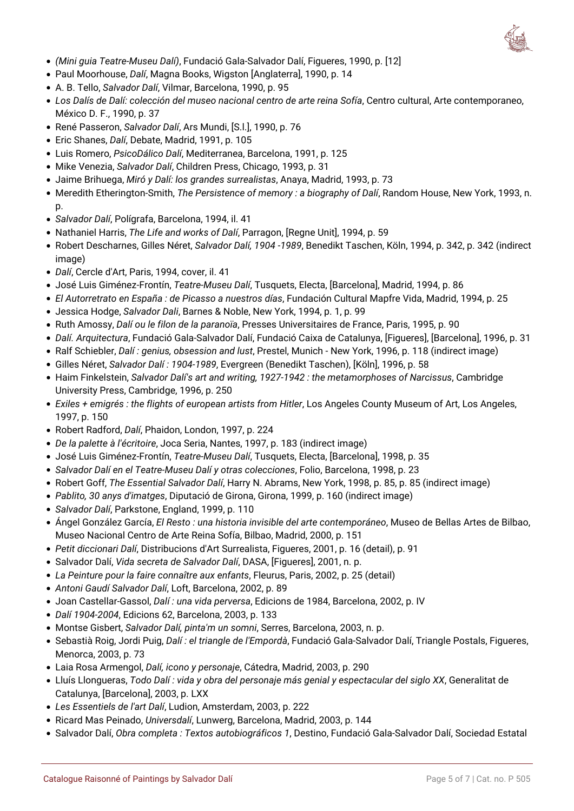

- *(Mini guia Teatre-Museu Dalí)*, Fundació Gala-Salvador Dalí, Figueres, 1990, p. [12]
- Paul Moorhouse, *Dalí*, Magna Books, Wigston [Anglaterra], 1990, p. 14
- A. B. Tello, *Salvador Dalí*, Vilmar, Barcelona, 1990, p. 95
- *Los Dalís de Dalí: colección del museo nacional centro de arte reina Sofía*, Centro cultural, Arte contemporaneo, México D. F., 1990, p. 37
- René Passeron, *Salvador Dalí*, Ars Mundi, [S.l.], 1990, p. 76
- Eric Shanes, *Dalí*, Debate, Madrid, 1991, p. 105
- Luis Romero, *PsicoDálico Dalí*, Mediterranea, Barcelona, 1991, p. 125
- Mike Venezia, *Salvador Dalí*, Children Press, Chicago, 1993, p. 31
- Jaime Brihuega, *Miró y Dalí: los grandes surrealistas*, Anaya, Madrid, 1993, p. 73
- Meredith Etherington-Smith, *The Persistence of memory : a biography of Dalí*, Random House, New York, 1993, n. p.
- *Salvador Dalí*, Polígrafa, Barcelona, 1994, il. 41
- Nathaniel Harris, *The Life and works of Dalí*, Parragon, [Regne Unit], 1994, p. 59
- Robert Descharnes, Gilles Néret, *Salvador Dalí, 1904 -1989*, Benedikt Taschen, Köln, 1994, p. 342, p. 342 (indirect image)
- *Dalí*, Cercle d'Art, Paris, 1994, cover, il. 41
- José Luis Giménez-Frontín, *Teatre-Museu Dalí*, Tusquets, Electa, [Barcelona], Madrid, 1994, p. 86
- *El Autorretrato en España : de Picasso a nuestros días*, Fundación Cultural Mapfre Vida, Madrid, 1994, p. 25
- Jessica Hodge, *Salvador Dali*, Barnes & Noble, New York, 1994, p. 1, p. 99
- Ruth Amossy, *Dalí ou le filon de la paranoïa*, Presses Universitaires de France, Paris, 1995, p. 90
- *Dalí. Arquitectura*, Fundació Gala-Salvador Dalí, Fundació Caixa de Catalunya, [Figueres], [Barcelona], 1996, p. 31
- Ralf Schiebler, *Dalí : genius, obsession and lust*, Prestel, Munich New York, 1996, p. 118 (indirect image)
- Gilles Néret, *Salvador Dalí : 1904-1989*, Evergreen (Benedikt Taschen), [Köln], 1996, p. 58
- Haim Finkelstein, *Salvador Dalí's art and writing, 1927-1942 : the metamorphoses of Narcissus*, Cambridge University Press, Cambridge, 1996, p. 250
- *Exiles + emigrés : the flights of european artists from Hitler*, Los Angeles County Museum of Art, Los Angeles, 1997, p. 150
- Robert Radford, *Dalí*, Phaidon, London, 1997, p. 224
- *De la palette à l'écritoire*, Joca Seria, Nantes, 1997, p. 183 (indirect image)
- José Luis Giménez-Frontín, *Teatre-Museu Dalí*, Tusquets, Electa, [Barcelona], 1998, p. 35
- *Salvador Dalí en el Teatre-Museu Dalí y otras colecciones*, Folio, Barcelona, 1998, p. 23
- Robert Goff, *The Essential Salvador Dalí*, Harry N. Abrams, New York, 1998, p. 85, p. 85 (indirect image)
- *Pablito, 30 anys d'imatges*, Diputació de Girona, Girona, 1999, p. 160 (indirect image)
- *Salvador Dalí*, Parkstone, England, 1999, p. 110
- Ángel González García, *El Resto : una historia invisible del arte contemporáneo*, Museo de Bellas Artes de Bilbao, Museo Nacional Centro de Arte Reina Sofía, Bilbao, Madrid, 2000, p. 151
- *Petit diccionari Dalí*, Distribucions d'Art Surrealista, Figueres, 2001, p. 16 (detail), p. 91
- Salvador Dalí, *Vida secreta de Salvador Dalí*, DASA, [Figueres], 2001, n. p.
- *La Peinture pour la faire connaître aux enfants*, Fleurus, Paris, 2002, p. 25 (detail)
- *Antoni Gaudí Salvador Dalí*, Loft, Barcelona, 2002, p. 89
- Joan Castellar-Gassol, *Dalí : una vida perversa*, Edicions de 1984, Barcelona, 2002, p. IV
- *Dalí 1904-2004*, Edicions 62, Barcelona, 2003, p. 133
- Montse Gisbert, *Salvador Dalí, pinta'm un somni*, Serres, Barcelona, 2003, n. p.
- Sebastià Roig, Jordi Puig, *Dalí : el triangle de l'Empordà*, Fundació Gala-Salvador Dalí, Triangle Postals, Figueres, Menorca, 2003, p. 73
- Laia Rosa Armengol, *Dalí, icono y personaje*, Cátedra, Madrid, 2003, p. 290
- Lluís Llongueras, *Todo Dalí : vida y obra del personaje más genial y espectacular del siglo XX*, Generalitat de Catalunya, [Barcelona], 2003, p. LXX
- *Les Essentiels de l'art Dalí*, Ludion, Amsterdam, 2003, p. 222
- Ricard Mas Peinado, *Universdalí*, Lunwerg, Barcelona, Madrid, 2003, p. 144
- Salvador Dalí, *Obra completa : Textos autobiográficos 1*, Destino, Fundació Gala-Salvador Dalí, Sociedad Estatal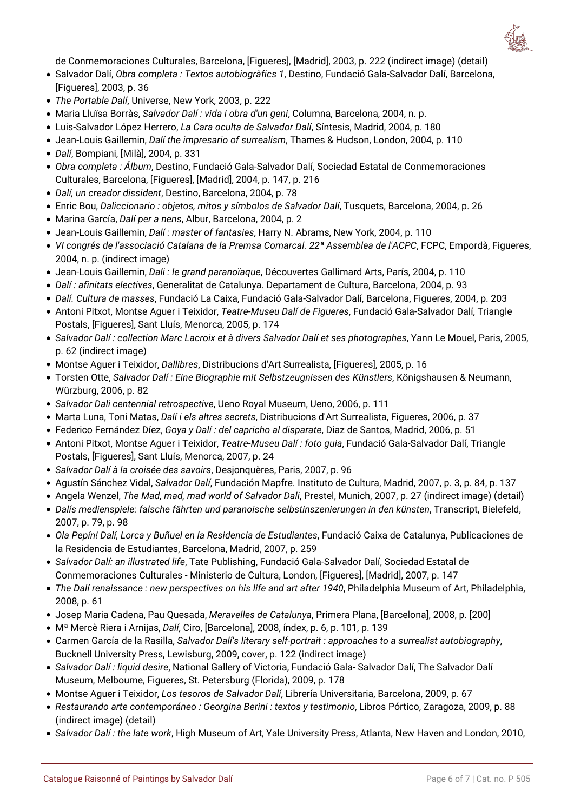

de Conmemoraciones Culturales, Barcelona, [Figueres], [Madrid], 2003, p. 222 (indirect image) (detail)

- Salvador Dalí, *Obra completa : Textos autobiogràfics 1*, Destino, Fundació Gala-Salvador Dalí, Barcelona, [Figueres], 2003, p. 36
- *The Portable Dalí*, Universe, New York, 2003, p. 222
- Maria Lluïsa Borràs, *Salvador Dalí : vida i obra d'un geni*, Columna, Barcelona, 2004, n. p.
- Luis-Salvador López Herrero, *La Cara oculta de Salvador Dalí*, Síntesis, Madrid, 2004, p. 180
- Jean-Louis Gaillemin, *Dalí the impresario of surrealism*, Thames & Hudson, London, 2004, p. 110
- *Dalí*, Bompiani, [Milà], 2004, p. 331
- *Obra completa : Álbum*, Destino, Fundació Gala-Salvador Dalí, Sociedad Estatal de Conmemoraciones Culturales, Barcelona, [Figueres], [Madrid], 2004, p. 147, p. 216
- *Dalí, un creador dissident*, Destino, Barcelona, 2004, p. 78
- Enric Bou, *Daliccionario : objetos, mitos y símbolos de Salvador Dalí*, Tusquets, Barcelona, 2004, p. 26
- Marina García, *Dalí per a nens*, Albur, Barcelona, 2004, p. 2
- Jean-Louis Gaillemin, *Dalí : master of fantasies*, Harry N. Abrams, New York, 2004, p. 110
- *VI congrés de l'associació Catalana de la Premsa Comarcal. 22ª Assemblea de l'ACPC*, FCPC, Empordà, Figueres, 2004, n. p. (indirect image)
- Jean-Louis Gaillemin, *Dali : le grand paranoïaque*, Découvertes Gallimard Arts, París, 2004, p. 110
- *Dalí : afinitats electives*, Generalitat de Catalunya. Departament de Cultura, Barcelona, 2004, p. 93
- *Dalí. Cultura de masses*, Fundació La Caixa, Fundació Gala-Salvador Dalí, Barcelona, Figueres, 2004, p. 203
- Antoni Pitxot, Montse Aguer i Teixidor, *Teatre-Museu Dalí de Figueres*, Fundació Gala-Salvador Dalí, Triangle Postals, [Figueres], Sant Lluís, Menorca, 2005, p. 174
- *Salvador Dalí : collection Marc Lacroix et à divers Salvador Dalí et ses photographes*, Yann Le Mouel, Paris, 2005, p. 62 (indirect image)
- Montse Aguer i Teixidor, *Dallibres*, Distribucions d'Art Surrealista, [Figueres], 2005, p. 16
- Torsten Otte, *Salvador Dalí : Eine Biographie mit Selbstzeugnissen des Künstlers*, Königshausen & Neumann, Würzburg, 2006, p. 82
- *Salvador Dali centennial retrospective*, Ueno Royal Museum, Ueno, 2006, p. 111
- Marta Luna, Toni Matas, *Dalí i els altres secrets*, Distribucions d'Art Surrealista, Figueres, 2006, p. 37
- Federico Fernández Díez, *Goya y Dalí : del capricho al disparate*, Diaz de Santos, Madrid, 2006, p. 51
- Antoni Pitxot, Montse Aguer i Teixidor, *Teatre-Museu Dalí : foto guia*, Fundació Gala-Salvador Dalí, Triangle Postals, [Figueres], Sant Lluís, Menorca, 2007, p. 24
- *Salvador Dalí à la croisée des savoirs*, Desjonquères, Paris, 2007, p. 96
- Agustín Sánchez Vidal, *Salvador Dalí*, Fundación Mapfre. Instituto de Cultura, Madrid, 2007, p. 3, p. 84, p. 137
- Angela Wenzel, *The Mad, mad, mad world of Salvador Dali*, Prestel, Munich, 2007, p. 27 (indirect image) (detail)
- *Dalís medienspiele: falsche fährten und paranoische selbstinszenierungen in den künsten*, Transcript, Bielefeld, 2007, p. 79, p. 98
- *Ola Pepín! Dalí, Lorca y Buñuel en la Residencia de Estudiantes*, Fundació Caixa de Catalunya, Publicaciones de la Residencia de Estudiantes, Barcelona, Madrid, 2007, p. 259
- *Salvador Dalí: an illustrated life*, Tate Publishing, Fundació Gala-Salvador Dalí, Sociedad Estatal de Conmemoraciones Culturales - Ministerio de Cultura, London, [Figueres], [Madrid], 2007, p. 147
- *The Dalí renaissance : new perspectives on his life and art after 1940*, Philadelphia Museum of Art, Philadelphia, 2008, p. 61
- Josep Maria Cadena, Pau Quesada, *Meravelles de Catalunya*, Primera Plana, [Barcelona], 2008, p. [200]
- Mª Mercè Riera i Arnijas, *Dalí*, Ciro, [Barcelona], 2008, índex, p. 6, p. 101, p. 139
- Carmen García de la Rasilla, *Salvador Dalí's literary self-portrait : approaches to a surrealist autobiography*, Bucknell University Press, Lewisburg, 2009, cover, p. 122 (indirect image)
- *Salvador Dalí : liquid desire*, National Gallery of Victoria, Fundació Gala- Salvador Dalí, The Salvador Dalí Museum, Melbourne, Figueres, St. Petersburg (Florida), 2009, p. 178
- Montse Aguer i Teixidor, *Los tesoros de Salvador Dalí*, Librería Universitaria, Barcelona, 2009, p. 67
- *Restaurando arte contemporáneo : Georgina Berini : textos y testimonio*, Libros Pórtico, Zaragoza, 2009, p. 88 (indirect image) (detail)
- *Salvador Dalí : the late work*, High Museum of Art, Yale University Press, Atlanta, New Haven and London, 2010,